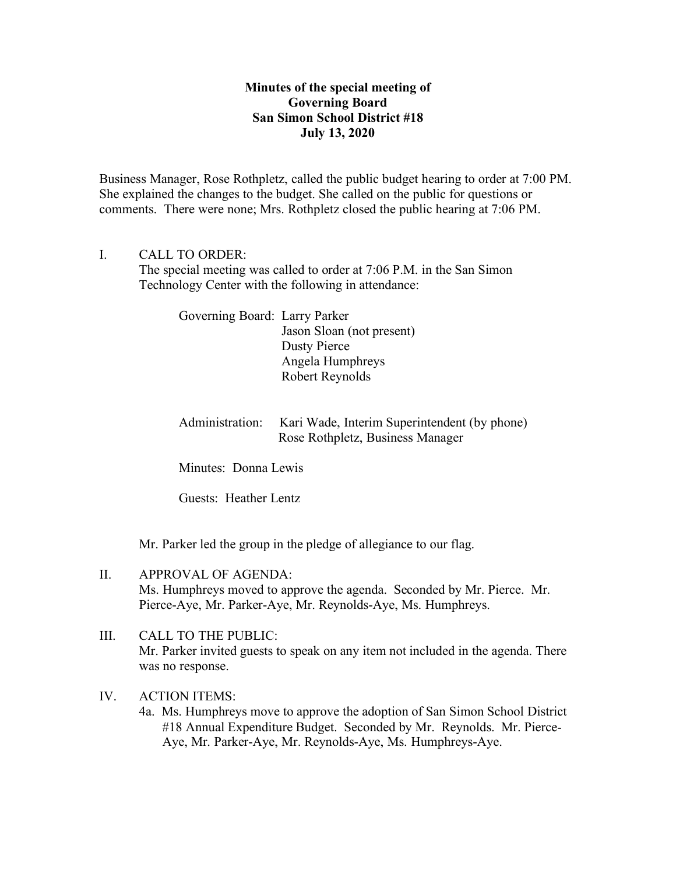## **Minutes of the special meeting of Governing Board San Simon School District #18 July 13, 2020**

Business Manager, Rose Rothpletz, called the public budget hearing to order at 7:00 PM. She explained the changes to the budget. She called on the public for questions or comments. There were none; Mrs. Rothpletz closed the public hearing at 7:06 PM.

## I. CALL TO ORDER:

The special meeting was called to order at 7:06 P.M. in the San Simon Technology Center with the following in attendance:

> Governing Board: Larry Parker Jason Sloan (not present) Dusty Pierce Angela Humphreys Robert Reynolds

Administration: Kari Wade, Interim Superintendent (by phone) Rose Rothpletz, Business Manager

Minutes: Donna Lewis

Guests: Heather Lentz

Mr. Parker led the group in the pledge of allegiance to our flag.

- II. APPROVAL OF AGENDA: Ms. Humphreys moved to approve the agenda. Seconded by Mr. Pierce. Mr. Pierce-Aye, Mr. Parker-Aye, Mr. Reynolds-Aye, Ms. Humphreys.
- III. CALL TO THE PUBLIC: Mr. Parker invited guests to speak on any item not included in the agenda. There was no response.

## IV. ACTION ITEMS:

4a. Ms. Humphreys move to approve the adoption of San Simon School District #18 Annual Expenditure Budget. Seconded by Mr. Reynolds. Mr. Pierce- Aye, Mr. Parker-Aye, Mr. Reynolds-Aye, Ms. Humphreys-Aye.